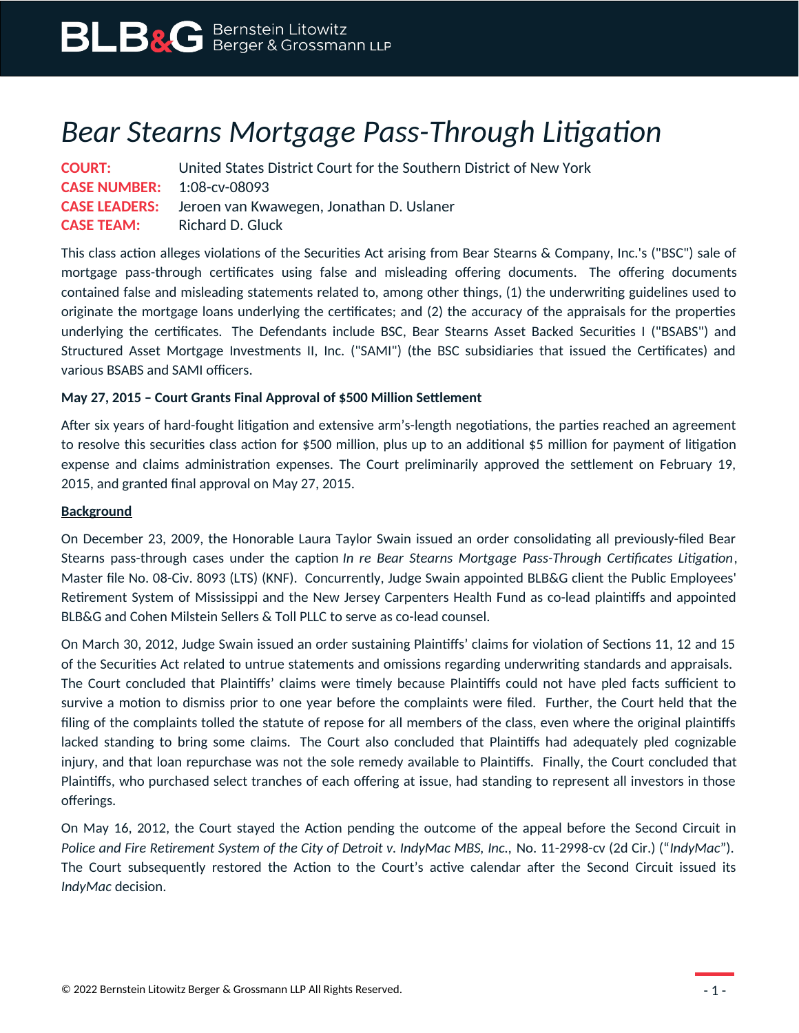## *Bear Stearns Mortgage Pass-Through Litigation*

| <b>COURT:</b>                     | United States District Court for the Southern District of New York |
|-----------------------------------|--------------------------------------------------------------------|
| <b>CASE NUMBER:</b> 1:08-cv-08093 |                                                                    |
|                                   | <b>CASE LEADERS:</b> Jeroen van Kwawegen, Jonathan D. Uslaner      |
| <b>CASE TEAM:</b>                 | Richard D. Gluck                                                   |

This class action alleges violations of the Securities Act arising from Bear Stearns & Company, Inc.'s ("BSC") sale of mortgage pass-through certificates using false and misleading offering documents. The offering documents contained false and misleading statements related to, among other things, (1) the underwriting guidelines used to originate the mortgage loans underlying the certificates; and (2) the accuracy of the appraisals for the properties underlying the certificates. The Defendants include BSC, Bear Stearns Asset Backed Securities I ("BSABS") and Structured Asset Mortgage Investments II, Inc. ("SAMI") (the BSC subsidiaries that issued the Certificates) and various BSABS and SAMI officers.

## **May 27, 2015 – Court Grants Final Approval of \$500 Million Settlement**

After six years of hard-fought litigation and extensive arm's-length negotiations, the parties reached an agreement to resolve this securities class action for \$500 million, plus up to an additional \$5 million for payment of litigation expense and claims administration expenses. The Court preliminarily approved the settlement on February 19, 2015, and granted final approval on May 27, 2015.

## **Background**

On December 23, 2009, the Honorable Laura Taylor Swain issued an order consolidating all previously-filed Bear Stearns pass-through cases under the caption *In re Bear Stearns Mortgage Pass-Through Certificates Litigation*, Master file No. 08-Civ. 8093 (LTS) (KNF). Concurrently, Judge Swain appointed BLB&G client the Public Employees' Retirement System of Mississippi and the New Jersey Carpenters Health Fund as co-lead plaintiffs and appointed BLB&G and Cohen Milstein Sellers & Toll PLLC to serve as co-lead counsel.

On March 30, 2012, Judge Swain issued an order sustaining Plaintiffs' claims for violation of Sections 11, 12 and 15 of the Securities Act related to untrue statements and omissions regarding underwriting standards and appraisals. The Court concluded that Plaintiffs' claims were timely because Plaintiffs could not have pled facts sufficient to survive a motion to dismiss prior to one year before the complaints were filed. Further, the Court held that the filing of the complaints tolled the statute of repose for all members of the class, even where the original plaintiffs lacked standing to bring some claims. The Court also concluded that Plaintiffs had adequately pled cognizable injury, and that loan repurchase was not the sole remedy available to Plaintiffs. Finally, the Court concluded that Plaintiffs, who purchased select tranches of each offering at issue, had standing to represent all investors in those offerings.

On May 16, 2012, the Court stayed the Action pending the outcome of the appeal before the Second Circuit in *Police and Fire Retirement System of the City of Detroit v. IndyMac MBS, Inc.,* No. 11-2998-cv (2d Cir.) ("*IndyMac*"). The Court subsequently restored the Action to the Court's active calendar after the Second Circuit issued its *IndyMac* decision.